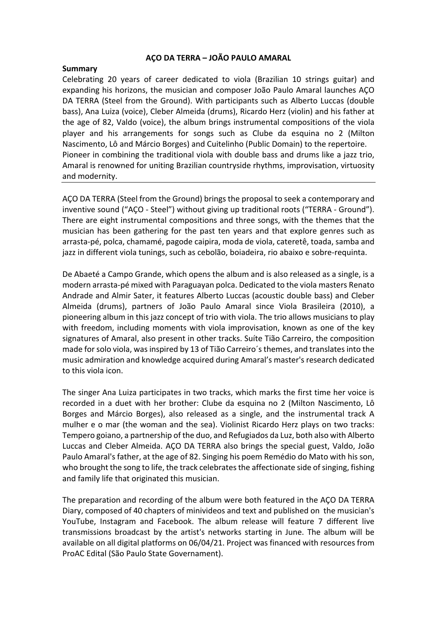## **AÇO DA TERRA – JOÃO PAULO AMARAL**

## **Summary**

Celebrating 20 years of career dedicated to viola (Brazilian 10 strings guitar) and expanding his horizons, the musician and composer João Paulo Amaral launches AÇO DA TERRA (Steel from the Ground). With participants such as Alberto Luccas (double bass), Ana Luiza (voice), Cleber Almeida (drums), Ricardo Herz (violin) and his father at the age of 82, Valdo (voice), the album brings instrumental compositions of the viola player and his arrangements for songs such as Clube da esquina no 2 (Milton Nascimento, Lô and Márcio Borges) and Cuitelinho (Public Domain) to the repertoire. Pioneer in combining the traditional viola with double bass and drums like a jazz trio, Amaral is renowned for uniting Brazilian countryside rhythms, improvisation, virtuosity and modernity.

ACO DA TERRA (Steel from the Ground) brings the proposal to seek a contemporary and inventive sound ("AÇO - Steel") without giving up traditional roots ("TERRA - Ground"). There are eight instrumental compositions and three songs, with the themes that the musician has been gathering for the past ten years and that explore genres such as arrasta-pé, polca, chamamé, pagode caipira, moda de viola, cateretê, toada, samba and jazz in different viola tunings, such as cebolão, boiadeira, rio abaixo e sobre-requinta.

De Abaeté a Campo Grande, which opens the album and is also released as a single, is a modern arrasta-pé mixed with Paraguayan polca. Dedicated to the viola masters Renato Andrade and Almir Sater, it features Alberto Luccas (acoustic double bass) and Cleber Almeida (drums), partners of João Paulo Amaral since Viola Brasileira (2010), a pioneering album in this jazz concept of trio with viola. The trio allows musicians to play with freedom, including moments with viola improvisation, known as one of the key signatures of Amaral, also present in other tracks. Suíte Tião Carreiro, the composition made for solo viola, was inspired by 13 of Tião Carreiro's themes, and translates into the music admiration and knowledge acquired during Amaral's master's research dedicated to this viola icon.

The singer Ana Luiza participates in two tracks, which marks the first time her voice is recorded in a duet with her brother: Clube da esquina no 2 (Milton Nascimento, Lô Borges and Márcio Borges), also released as a single, and the instrumental track A mulher e o mar (the woman and the sea). Violinist Ricardo Herz plays on two tracks: Tempero goiano, a partnership of the duo, and Refugiados da Luz, both also with Alberto Luccas and Cleber Almeida. ACO DA TERRA also brings the special guest, Valdo, João Paulo Amaral's father, at the age of 82. Singing his poem Remédio do Mato with his son, who brought the song to life, the track celebrates the affectionate side of singing, fishing and family life that originated this musician.

The preparation and recording of the album were both featured in the AÇO DA TERRA Diary, composed of 40 chapters of minivideos and text and published on the musician's YouTube, Instagram and Facebook. The album release will feature 7 different live transmissions broadcast by the artist's networks starting in June. The album will be available on all digital platforms on 06/04/21. Project was financed with resources from ProAC Edital (São Paulo State Governament).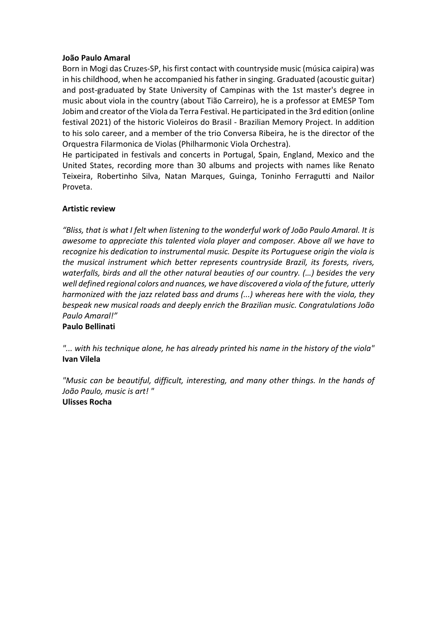## **João Paulo Amaral**

Born in Mogi das Cruzes-SP, his first contact with countryside music (música caipira) was in his childhood, when he accompanied his father in singing. Graduated (acoustic guitar) and post-graduated by State University of Campinas with the 1st master's degree in music about viola in the country (about Tião Carreiro), he is a professor at EMESP Tom Jobim and creator of the Viola da Terra Festival. He participated in the 3rd edition (online festival 2021) of the historic Violeiros do Brasil - Brazilian Memory Project. In addition to his solo career, and a member of the trio Conversa Ribeira, he is the director of the Orquestra Filarmonica de Violas (Philharmonic Viola Orchestra). 

He participated in festivals and concerts in Portugal, Spain, England, Mexico and the United States, recording more than 30 albums and projects with names like Renato Teixeira, Robertinho Silva, Natan Marques, Guinga, Toninho Ferragutti and Nailor Proveta.

# **Artistic review**

"Bliss, that is what I felt when listening to the wonderful work of João Paulo Amaral. It is *awesome to appreciate this talented viola player and composer. Above all we have to* recognize his dedication to instrumental music. Despite its Portuguese origin the viola is the musical instrument which better represents countryside Brazil, its forests, rivers, waterfalls, birds and all the other natural beauties of our country. (...) besides the very well defined regional colors and nuances, we have discovered a viola of the future, utterly *harmonized* with the jazz related bass and drums (...) whereas here with the viola, they bespeak new musical roads and deeply enrich the Brazilian music. Congratulations João *Paulo Amaral!"*  **Paulo Bellinati**

*"... with his technique alone, he has already printed his name in the history of the viola"* **Ivan Vilela**

"Music can be beautiful, difficult, interesting, and many other things. In the hands of *João Paulo, music is art! "*  **Ulisses Rocha**